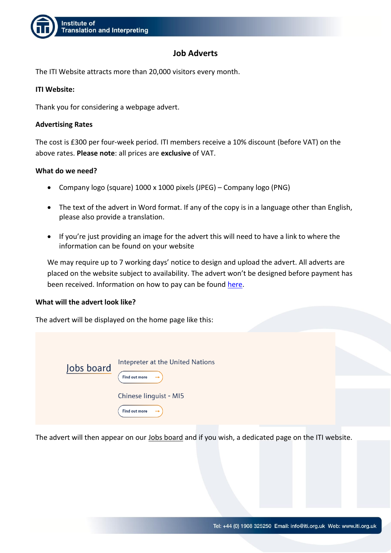

## **Job Adverts**

The ITI Website attracts more than 20,000 visitors every month.

### **ITI Website:**

Thank you for considering a webpage advert.

### **Advertising Rates**

The cost is £300 per four-week period. ITI members receive a 10% discount (before VAT) on the above rates. **Please note**: all prices are **exclusive** of VAT.

### **What do we need?**

- Company logo (square) 1000 x 1000 pixels (JPEG) Company logo (PNG)
- The text of the advert in Word format. If any of the copy is in a language other than English, please also provide a translation.
- If you're just providing an image for the advert this will need to have a link to where the information can be found on your website

We may require up to 7 working days' notice to design and upload the advert. All adverts are placed on the website subject to availability. The advert won't be designed before payment has been received. Information on how to pay can be found [here.](https://www.iti.org.uk/resource/how-to-pay.html)

### **What will the advert look like?**

The advert will be displayed on the home page like this:

| Jobs board | Intepreter at the United Nations<br>Find out more<br>$\rightarrow$ |  |
|------------|--------------------------------------------------------------------|--|
|            | Chinese linguist - MI5<br>Find out more<br>$\rightarrow$           |  |

The advert will then appear on our [Jobs board](https://www.iti.org.uk/discover/career-in-translation-and-interpreting/jobs-board.html) and if you wish, a dedicated page on the ITI website.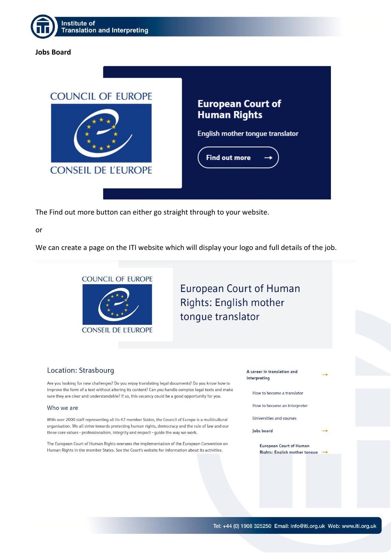

### **Jobs Board**



The Find out more button can either go straight through to your website.

or

We can create a page on the ITI website which will display your logo and full details of the job.



# **European Court of Human** Rights: English mother tongue translator

### Location: Strasbourg

Are you looking for new challenges? Do you enjoy translating legal documents? Do you know how to improve the form of a text without altering its content? Can you handle complex legal texts and make sure they are clear and understandable? If so, this vacancy could be a good opportunity for you.

#### Who we are

With over 2000 staff representing all its 47 member States, the Council of Europe is a multicultural organisation. We all strive towards protecting human rights, democracy and the rule of law and our three core values - professionalism, integrity and respect - guide the way we work.

The European Court of Human Rights oversees the implementation of the European Convention on Human Rights in the member States. See the Court's website for information about its activities.

A career in translation and interpreting

How to become a translator

How to become an interpreter

Universities and courses

**Jobs board** 

**European Court of Human** Rights: English mother tonque -